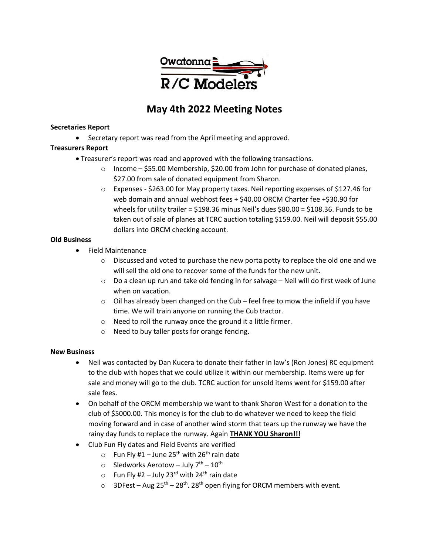

# **May 4th 2022 Meeting Notes**

#### **Secretaries Report**

• Secretary report was read from the April meeting and approved.

## **Treasurers Report**

- Treasurer's report was read and approved with the following transactions.
	- $\circ$  Income \$55.00 Membership, \$20.00 from John for purchase of donated planes, \$27.00 from sale of donated equipment from Sharon.
	- $\circ$  Expenses \$263.00 for May property taxes. Neil reporting expenses of \$127.46 for web domain and annual webhost fees + \$40.00 ORCM Charter fee +\$30.90 for wheels for utility trailer = \$198.36 minus Neil's dues \$80.00 = \$108.36. Funds to be taken out of sale of planes at TCRC auction totaling \$159.00. Neil will deposit \$55.00 dollars into ORCM checking account.

## **Old Business**

- Field Maintenance
	- $\circ$  Discussed and voted to purchase the new porta potty to replace the old one and we will sell the old one to recover some of the funds for the new unit.
	- $\circ$  Do a clean up run and take old fencing in for salvage Neil will do first week of June when on vacation.
	- $\circ$  Oil has already been changed on the Cub feel free to mow the infield if you have time. We will train anyone on running the Cub tractor.
	- o Need to roll the runway once the ground it a little firmer.
	- o Need to buy taller posts for orange fencing.

## **New Business**

- Neil was contacted by Dan Kucera to donate their father in law's (Ron Jones) RC equipment to the club with hopes that we could utilize it within our membership. Items were up for sale and money will go to the club. TCRC auction for unsold items went for \$159.00 after sale fees.
- On behalf of the ORCM membership we want to thank Sharon West for a donation to the club of \$5000.00. This money is for the club to do whatever we need to keep the field moving forward and in case of another wind storm that tears up the runway we have the rainy day funds to replace the runway. Again **THANK YOU Sharon!!!**
- Club Fun Fly dates and Field Events are verified
	- $\circ$  Fun Fly #1 June 25<sup>th</sup> with 26<sup>th</sup> rain date
	- $\circ$  Sledworks Aerotow July  $7^{th}$   $10^{th}$
	- $\circ$  Fun Fly #2 July 23<sup>rd</sup> with 24<sup>th</sup> rain date
	- o 3DFest Aug  $25^{th}$   $28^{th}$ .  $28^{th}$  open flying for ORCM members with event.